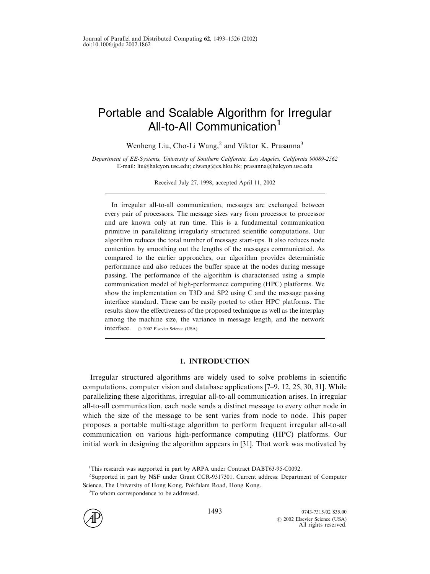# Portable and Scalable Algorithm for Irregular All-to-All Communication<sup>1</sup>

Wenheng Liu, Cho-Li Wang,<sup>2</sup> and Viktor K. Prasanna<sup>3</sup>

Department of EE-Systems, University of Southern California, Los Angeles, California 90089-2562 E-mail: liu@halcyon.usc.edu; clwang@cs.hku.hk; prasanna@halcyon.usc.edu

Received July 27, 1998; accepted April 11, 2002

In irregular all-to-all communication, messages are exchanged between every pair of processors. The message sizes vary from processor to processor and are known only at run time. This is a fundamental communication primitive in parallelizing irregularly structured scientific computations. Our algorithm reduces the total number of message start-ups. It also reduces node contention by smoothing out the lengths of the messages communicated. As compared to the earlier approaches, our algorithm provides deterministic performance and also reduces the buffer space at the nodes during message passing. The performance of the algorithm is characterised using a simple communication model of high-performance computing (HPC) platforms. We show the implementation on T3D and SP2 using C and the message passing interface standard. These can be easily ported to other HPC platforms. The results show the effectiveness of the proposed technique as well as the interplay among the machine size, the variance in message length, and the network interface. # 2002 Elsevier Science (USA)

## 1. INTRODUCTION

Irregular structured algorithms are widely used to solve problems in scientific computations, computer vision and database applications [\[7–9,](#page-31-0) [12, 25, 30, 31\].](#page-32-0) While parallelizing these algorithms, irregular all-to-all communication arises. In irregular all-to-all communication, each node sends a distinct message to every other node in which the size of the message to be sent varies from node to node. This paper proposes a portable multi-stage algorithm to perform frequent irregular all-to-all communication on various high-performance computing (HPC) platforms. Our initial work in designing the algorithm appears in [\[31\]](#page-32-0). That work was motivated by

<sup>&</sup>lt;sup>3</sup>To whom correspondence to be addressed.



<sup>&</sup>lt;sup>1</sup>This research was supported in part by ARPA under Contract DABT63-95-C0092.

<sup>2</sup>Supported in part by NSF under Grant CCR-9317301. Current address: Department of Computer Science, The University of Hong Kong, Pokfulam Road, Hong Kong.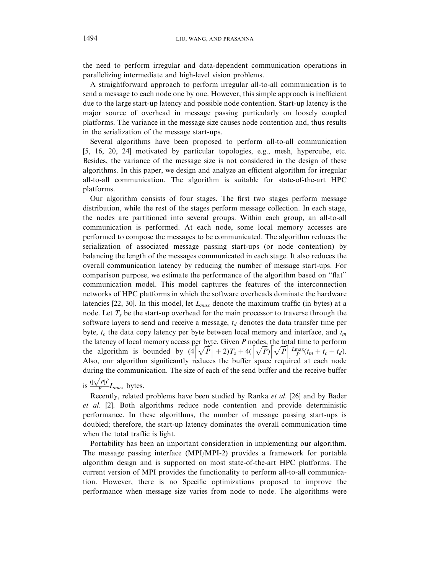the need to perform irregular and data-dependent communication operations in parallelizing intermediate and high-level vision problems.

A straightforward approach to perform irregular all-to-all communication is to send a message to each node one by one. However, this simple approach is inefficient due to the large start-up latency and possible node contention. Start-up latency is the major source of overhead in message passing particularly on loosely coupled platforms. The variance in the message size causes node contention and, thus results in the serialization of the message start-ups.

Several algorithms have been proposed to perform all-to-all communication [\[5,](#page-31-0) [16, 20, 24\]](#page-32-0) motivated by particular topologies, e.g., mesh, hypercube, etc. Besides, the variance of the message size is not considered in the design of these algorithms. In this paper, we design and analyze an efficient algorithm for irregular all-to-all communication. The algorithm is suitable for state-of-the-art HPC platforms.

Our algorithm consists of four stages. The first two stages perform message distribution, while the rest of the stages perform message collection. In each stage, the nodes are partitioned into several groups. Within each group, an all-to-all communication is performed. At each node, some local memory accesses are performed to compose the messages to be communicated. The algorithm reduces the serialization of associated message passing start-ups (or node contention) by balancing the length of the messages communicated in each stage. It also reduces the overall communication latency by reducing the number of message start-ups. For comparison purpose, we estimate the performance of the algorithm based on ''flat'' communication model. This model captures the features of the interconnection networks of HPC platforms in which the software overheads dominate the hardware latencies [\[22, 30\]](#page-32-0). In this model, let  $L_{max}$  denote the maximum traffic (in bytes) at a node. Let  $T<sub>s</sub>$  be the start-up overhead for the main processor to traverse through the software layers to send and receive a message,  $t_d$  denotes the data transfer time per byte,  $t_c$  the data copy latency per byte between local memory and interface, and  $t_m$ the latency of local memory access per byte. Given P nodes, the total time to perform the algorithm is bounded by  $(4\sqrt{P}) + 2T_s + 4(\sqrt{P})\sqrt{P} \frac{L_{\text{max}}}{P}(t_m + t_c + t_d)$ . Also, our algorithm significantly reduces the buffer space required at each node during the communication. The size of each of the send buffer and the receive buffer  $\sqrt{P}$ <sup>2</sup>

#### is  $\frac{0}{1}$  $\frac{P}{P}L_{max}$  bytes.

Recently, related problems have been studied by Ranka et al. [\[26\]](#page-32-0) and by Bader et al. [\[2\].](#page-31-0) Both algorithms reduce node contention and provide deterministic performance. In these algorithms, the number of message passing start-ups is doubled; therefore, the start-up latency dominates the overall communication time when the total traffic is light.

Portability has been an important consideration in implementing our algorithm. The message passing interface  $(MPI/MPI-2)$  provides a framework for portable algorithm design and is supported on most state-of-the-art HPC platforms. The current version of MPI provides the functionality to perform all-to-all communication. However, there is no Specific optimizations proposed to improve the performance when message size varies from node to node. The algorithms were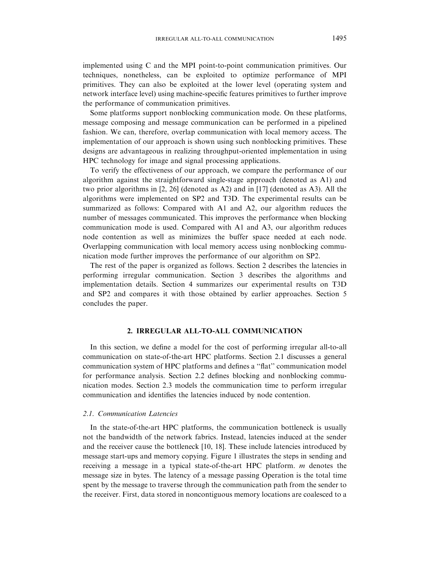<span id="page-2-0"></span>implemented using C and the MPI point-to-point communication primitives. Our techniques, nonetheless, can be exploited to optimize performance of MPI primitives. They can also be exploited at the lower level (operating system and network interface level) using machine-specific features primitives to further improve the performance of communication primitives.

Some platforms support nonblocking communication mode. On these platforms, message composing and message communication can be performed in a pipelined fashion. We can, therefore, overlap communication with local memory access. The implementation of our approach is shown using such nonblocking primitives. These designs are advantageous in realizing throughput-oriented implementation in using HPC technology for image and signal processing applications.

To verify the effectiveness of our approach, we compare the performance of our algorithm against the straightforward single-stage approach (denoted as A1) and two prior algorithms in  $[2, 26]$  $[2, 26]$  (denoted as A2) and in  $[17]$  (denoted as A3). All the algorithms were implemented on SP2 and T3D. The experimental results can be summarized as follows: Compared with A1 and A2, our algorithm reduces the number of messages communicated. This improves the performance when blocking communication mode is used. Compared with A1 and A3, our algorithm reduces node contention as well as minimizes the buffer space needed at each node. Overlapping communication with local memory access using nonblocking communication mode further improves the performance of our algorithm on SP2.

The rest of the paper is organized as follows. Section 2 describes the latencies in performing irregular communication. [Section 3](#page-7-0) describes the algorithms and implementation details. [Section 4](#page-23-0) summarizes our experimental results on T3D and SP2 and compares it with those obtained by earlier approaches. [Section 5](#page-27-0) concludes the paper.

## 2. IRREGULAR ALL-TO-ALL COMMUNICATION

In this section, we define a model for the cost of performing irregular all-to-all communication on state-of-the-art HPC platforms. Section 2.1 discusses a general communication system of HPC platforms and defines a ''flat'' communication model for performance analysis. Section 2.2 defines blocking and nonblocking communication modes. Section 2.3 models the communication time to perform irregular communication and identifies the latencies induced by node contention.

## 2.1. Communication Latencies

In the state-of-the-art HPC platforms, the communication bottleneck is usually not the bandwidth of the network fabrics. Instead, latencies induced at the sender and the receiver cause the bottleneck [\[10,](#page-31-0) [18\].](#page-32-0) These include latencies introduced by message start-ups and memory copying. Figure 1 illustrates the steps in sending and receiving a message in a typical state-of-the-art HPC platform. m denotes the message size in bytes. The latency of a message passing Operation is the total time spent by the message to traverse through the communication path from the sender to the receiver. First, data stored in noncontiguous memory locations are coalesced to a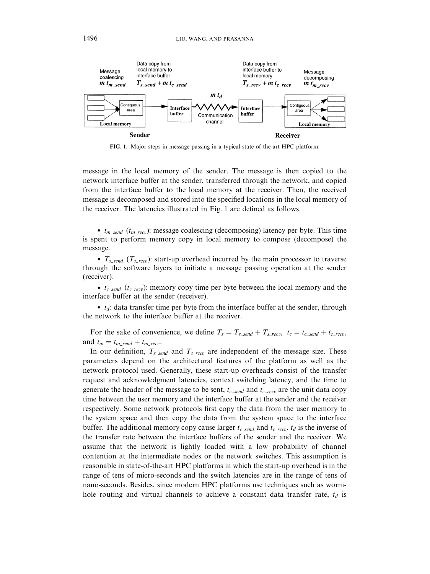

FIG. 1. Major steps in message passing in a typical state-of-the-art HPC platform.

message in the local memory of the sender. The message is then copied to the network interface buffer at the sender, transferred through the network, and copied from the interface buffer to the local memory at the receiver. Then, the received message is decomposed and stored into the specified locations in the local memory of the receiver. The latencies illustrated in Fig. 1 are defined as follows.

•  $t_{m\_send}$   $(t_{m\_recv})$ : message coalescing (decomposing) latency per byte. This time is spent to perform memory copy in local memory to compose (decompose) the message.

•  $T_{s\_send}$  ( $T_{s\_recv}$ ): start-up overhead incurred by the main processor to traverse through the software layers to initiate a message passing operation at the sender (receiver).

•  $t_{c\_send}$  ( $t_{c\_recv}$ ): memory copy time per byte between the local memory and the interface buffer at the sender (receiver).

 $\bullet$   $t_d$ : data transfer time per byte from the interface buffer at the sender, through the network to the interface buffer at the receiver.

For the sake of convenience, we define  $T_s = T_{s\_send} + T_{s\_recv}$ ,  $t_c = t_{c\_send} + t_{c\_recv}$ and  $t_m = t_{m\_send} + t_{m\_recv}$ .

In our definition,  $T_{s\_send}$  and  $T_{s\_recv}$  are independent of the message size. These parameters depend on the architectural features of the platform as well as the network protocol used. Generally, these start-up overheads consist of the transfer request and acknowledgment latencies, context switching latency, and the time to generate the header of the message to be sent,  $t_{c\_send}$  and  $t_{c\_recv}$  are the unit data copy time between the user memory and the interface buffer at the sender and the receiver respectively. Some network protocols first copy the data from the user memory to the system space and then copy the data from the system space to the interface buffer. The additional memory copy cause larger  $t_{c\_send}$  and  $t_{c\_recv}$ .  $t_d$  is the inverse of the transfer rate between the interface buffers of the sender and the receiver. We assume that the network is lightly loaded with a low probability of channel contention at the intermediate nodes or the network switches. This assumption is reasonable in state-of-the-art HPC platforms in which the start-up overhead is in the range of tens of micro-seconds and the switch latencies are in the range of tens of nano-seconds. Besides, since modern HPC platforms use techniques such as wormhole routing and virtual channels to achieve a constant data transfer rate,  $t_d$  is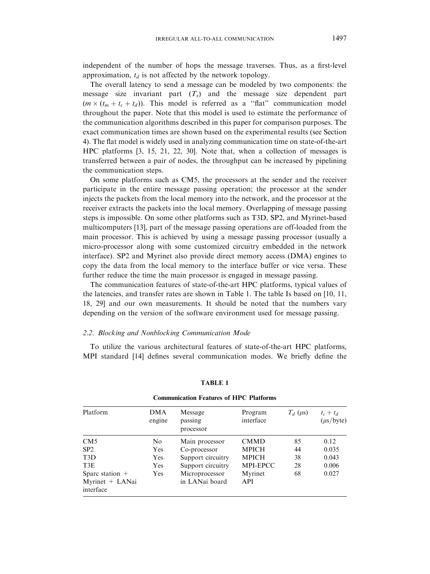<span id="page-4-0"></span>independent of the number of hops the message traverses. Thus, as a first-level approximation,  $t_d$  is not affected by the network topology.

The overall latency to send a message can be modeled by two components: the message size invariant part  $(T<sub>s</sub>)$  and the message size dependent part  $(m \times (t_m + t_c + t_d))$ . This model is referred as a "flat" communication model throughout the paper. Note that this model is used to estimate the performance of the communication algorithms described in this paper for comparison purposes. The exact communication times are shown based on the experimental results (see [Section](#page-23-0) [4\).](#page-23-0) The flat model is widely used in analyzing communication time on state-of-the-art HPC platforms [\[3,](#page-31-0) [15, 21, 22, 30\].](#page-32-0) Note that, when a collection of messages is transferred between a pair of nodes, the throughput can be increased by pipelining the communication steps.

On some platforms such as CM5, the processors at the sender and the receiver participate in the entire message passing operation; the processor at the sender injects the packets from the local memory into the network, and the processor at the receiver extracts the packets into the local memory. Overlapping of message passing steps is impossible. On some other platforms such as T3D, SP2, and Myrinet-based multicomputers [\[13\],](#page-32-0) part of the message passing operations are off-loaded from the main processor. This is achieved by using a message passing processor (usually a micro-processor along with some customized circuitry embedded in the network interface). SP2 and Myrinet also provide direct memory access (DMA) engines to copy the data from the local memory to the interface buffer or vice versa. These further reduce the time the main processor is engaged in message passing.

The communication features of state-of-the-art HPC platforms, typical values of the latencies, and transfer rates are shown in Table 1. The table Is based on [\[10,](#page-31-0) [11,](#page-32-0) [18, 29\]](#page-32-0) and our own measurements. It should be noted that the numbers vary depending on the version of the software environment used for message passing.

## 2.2. Blocking and Nonblocking Communication Mode

To utilize the various architectural features of state-of-the-art HPC platforms, MPI standard [\[14\]](#page-32-0) defines several communication modes. We briefly define the

| Platform                     | <b>DMA</b><br>engine | Message<br>passing<br>processor | Program<br>interface | $T_d$ ( $\mu$ s) | $t_c + t_d$<br>$(\mu s/byte)$ |
|------------------------------|----------------------|---------------------------------|----------------------|------------------|-------------------------------|
| CM5                          | No                   | Main processor                  | <b>CMMD</b>          | 85               | 0.12                          |
| SP2                          | Yes                  | Co-processor                    | <b>MPICH</b>         | 44               | 0.035                         |
| T <sub>3</sub> D             | Yes                  | Support circuitry               | <b>MPICH</b>         | 38               | 0.043                         |
| T <sub>3</sub> E             | Yes                  | Support circuitry               | <b>MPI-EPCC</b>      | 28               | 0.006                         |
| Sparc station $+$            | Yes                  | Microprocessor                  | Myrinet              | 68               | 0.027                         |
| Myrinet + LANai<br>interface |                      | in LANai board                  | API                  |                  |                               |

TABLE 1 Communication Features of HPC Platforms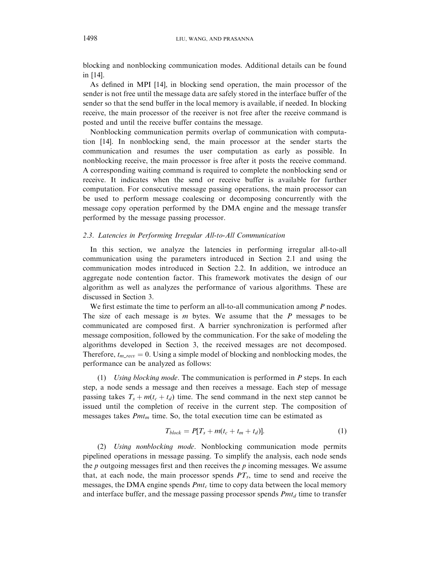<span id="page-5-0"></span>blocking and nonblocking communication modes. Additional details can be found in [\[14\].](#page-32-0)

As defined in MPI [\[14\]](#page-32-0), in blocking send operation, the main processor of the sender is not free until the message data are safely stored in the interface buffer of the sender so that the send buffer in the local memory is available, if needed. In blocking receive, the main processor of the receiver is not free after the receive command is posted and until the receive buffer contains the message.

Nonblocking communication permits overlap of communication with computation [\[14\].](#page-32-0) In nonblocking send, the main processor at the sender starts the communication and resumes the user computation as early as possible. In nonblocking receive, the main processor is free after it posts the receive command. A corresponding waiting command is required to complete the nonblocking send or receive. It indicates when the send or receive buffer is available for further computation. For consecutive message passing operations, the main processor can be used to perform message coalescing or decomposing concurrently with the message copy operation performed by the DMA engine and the message transfer performed by the message passing processor.

#### 2.3. Latencies in Performing Irregular All-to-All Communication

In this section, we analyze the latencies in performing irregular all-to-all communication using the parameters introduced in Section 2.1 and using the communication modes introduced in Section 2.2. In addition, we introduce an aggregate node contention factor. This framework motivates the design of our algorithm as well as analyzes the performance of various algorithms. These are discussed in [Section 3.](#page-7-0)

We first estimate the time to perform an all-to-all communication among  $P$  nodes. The size of each message is  $m$  bytes. We assume that the  $P$  messages to be communicated are composed first. A barrier synchronization is performed after message composition, followed by the communication. For the sake of modeling the algorithms developed in [Section 3,](#page-7-0) the received messages are not decomposed. Therefore,  $t_{m\_recv} = 0$ . Using a simple model of blocking and nonblocking modes, the performance can be analyzed as follows:

(1) Using blocking mode. The communication is performed in  $P$  steps. In each step, a node sends a message and then receives a message. Each step of message passing takes  $T_s + m(t_c + t_d)$  time. The send command in the next step cannot be issued until the completion of receive in the current step. The composition of messages takes  $Pmt_m$  time. So, the total execution time can be estimated as

$$
T_{block} = P[T_s + m(t_c + t_m + t_d)]. \tag{1}
$$

(2) Using nonblocking mode. Nonblocking communication mode permits pipelined operations in message passing. To simplify the analysis, each node sends the  $p$  outgoing messages first and then receives the  $p$  incoming messages. We assume that, at each node, the main processor spends  $PT<sub>s</sub>$ , time to send and receive the messages, the DMA engine spends  $Pmt_c$  time to copy data between the local memory and interface buffer, and the message passing processor spends  $Pmt<sub>d</sub>$  time to transfer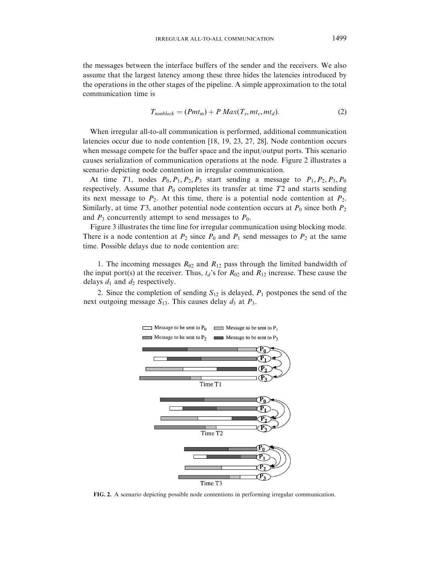the messages between the interface buffers of the sender and the receivers. We also assume that the largest latency among these three hides the latencies introduced by the operations in the other stages of the pipeline. A simple approximation to the total communication time is

$$
T_{nonblock} = (Pmt_m) + P \, Max(T_s, mt_c, mt_d). \tag{2}
$$

When irregular all-to-all communication is performed, additional communication latencies occur due to node contention [\[18, 19, 23, 27](#page-32-0), [28\]](#page-32-0). Node contention occurs when message compete for the buffer space and the input/output ports. This scenario causes serialization of communication operations at the node. Figure 2 illustrates a scenario depicting node contention in irregular communication.

At time T1, nodes  $P_0$ ,  $P_1$ ,  $P_2$ ,  $P_3$  start sending a message to  $P_1$ ,  $P_2$ ,  $P_3$ ,  $P_0$ respectively. Assume that  $P_0$  completes its transfer at time  $T2$  and starts sending its next message to  $P_2$ . At this time, there is a potential node contention at  $P_2$ . Similarly, at time T3, another potential node contention occurs at  $P_0$  since both  $P_2$ and  $P_3$  concurrently attempt to send messages to  $P_0$ .

[Figure 3](#page-7-0) illustrates the time line for irregular communication using blocking mode. There is a node contention at  $P_2$  since  $P_0$  and  $P_1$  send messages to  $P_2$  at the same time. Possible delays due to node contention are:

1. The incoming messages  $R_{02}$  and  $R_{12}$  pass through the limited bandwidth of the input port(s) at the receiver. Thus,  $t_d$ 's for  $R_{02}$  and  $R_{12}$  increase. These cause the delays  $d_1$  and  $d_2$  respectively.

2. Since the completion of sending  $S_{12}$  is delayed,  $P_1$  postpones the send of the next outgoing message  $S_{13}$ . This causes delay  $d_3$  at  $P_3$ .



FIG. 2. A scenario depicting possible node contentions in performing irregular communication.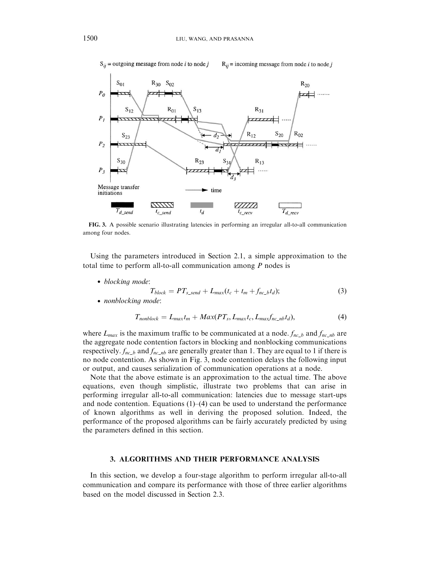<span id="page-7-0"></span>

FIG. 3. A possible scenario illustrating latencies in performing an irregular all-to-all communication among four nodes.

Using the parameters introduced in Section 2.1, a simple approximation to the total time to perform all-to-all communication among  $P$  nodes is

• blocking mode:

$$
T_{block} = PT_{s\_send} + L_{max}(t_c + t_m + f_{nc\_bt})
$$
\n<sup>(3)</sup>

• nonblocking mode:

$$
T_{nonblock} = L_{max}t_m + Max(PT_s, L_{max}t_c, L_{max}f_{nc\_nb}t_d),
$$
\n(4)

where  $L_{max}$  is the maximum traffic to be communicated at a node.  $f_{nc}$  and  $f_{nc}$  are the aggregate node contention factors in blocking and nonblocking communications respectively.  $f_{nc-b}$  and  $f_{nc-nb}$  are generally greater than 1. They are equal to 1 if there is no node contention. As shown in Fig. 3, node contention delays the following input or output, and causes serialization of communication operations at a node.

Note that the above estimate is an approximation to the actual time. The above equations, even though simplistic, illustrate two problems that can arise in performing irregular all-to-all communication: latencies due to message start-ups and node contention. Equations  $(1)$ – $(4)$  can be used to understand the performance of known algorithms as well in deriving the proposed solution. Indeed, the performance of the proposed algorithms can be fairly accurately predicted by using the parameters defined in this section.

## 3. ALGORITHMS AND THEIR PERFORMANCE ANALYSIS

In this section, we develop a four-stage algorithm to perform irregular all-to-all communication and compare its performance with those of three earlier algorithms based on the model discussed in Section 2.3.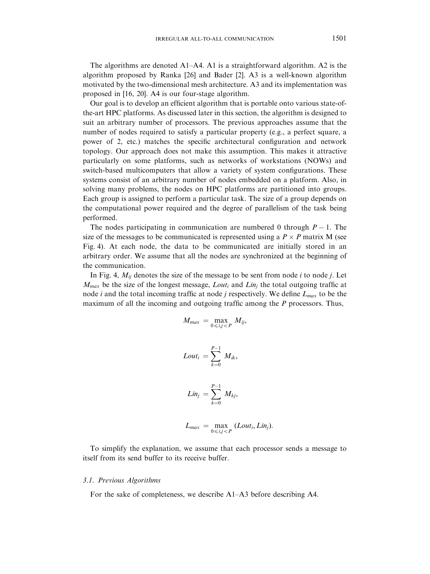The algorithms are denoted  $A1-A4$ . A1 is a straightforward algorithm. A2 is the algorithm proposed by Ranka [\[26\]](#page-32-0) and Bader [\[2\].](#page-31-0) A3 is a well-known algorithm motivated by the two-dimensional mesh architecture. A3 and its implementation was proposed in [\[16, 20\]](#page-32-0). A4 is our four-stage algorithm.

Our goal is to develop an efficient algorithm that is portable onto various state-ofthe-art HPC platforms. As discussed later in this section, the algorithm is designed to suit an arbitrary number of processors. The previous approaches assume that the number of nodes required to satisfy a particular property (e.g., a perfect square, a power of 2, etc.) matches the specific architectural configuration and network topology. Our approach does not make this assumption. This makes it attractive particularly on some platforms, such as networks of workstations (NOWs) and switch-based multicomputers that allow a variety of system configurations. These systems consist of an arbitrary number of nodes embedded on a platform. Also, in solving many problems, the nodes on HPC platforms are partitioned into groups. Each group is assigned to perform a particular task. The size of a group depends on the computational power required and the degree of parallelism of the task being performed.

The nodes participating in communication are numbered 0 through  $P - 1$ . The size of the messages to be communicated is represented using a  $P \times P$  matrix M (see [Fig. 4\)](#page-9-0). At each node, the data to be communicated are initially stored in an arbitrary order. We assume that all the nodes are synchronized at the beginning of the communication.

In [Fig. 4,](#page-9-0)  $M_{ij}$  denotes the size of the message to be sent from node *i* to node *j*. Let  $M_{max}$  be the size of the longest message, Lout<sub>i</sub> and Lin<sub>j</sub> the total outgoing traffic at node *i* and the total incoming traffic at node *j* respectively. We define  $L_{max}$  to be the maximum of all the incoming and outgoing traffic among the P processors. Thus,

$$
M_{max} = \max_{0 \le i,j < P} M_{ij},
$$
\n
$$
Lout_i = \sum_{k=0}^{P-1} M_{ik},
$$
\n
$$
Lin_j = \sum_{k=0}^{P-1} M_{kj},
$$

$$
L_{max} = \max_{0 \le i,j < P} (Lout_i, Lin_j).
$$

To simplify the explanation, we assume that each processor sends a message to itself from its send buffer to its receive buffer.

## 3.1. Previous Algorithms

For the sake of completeness, we describe A1–A3 before describing A4.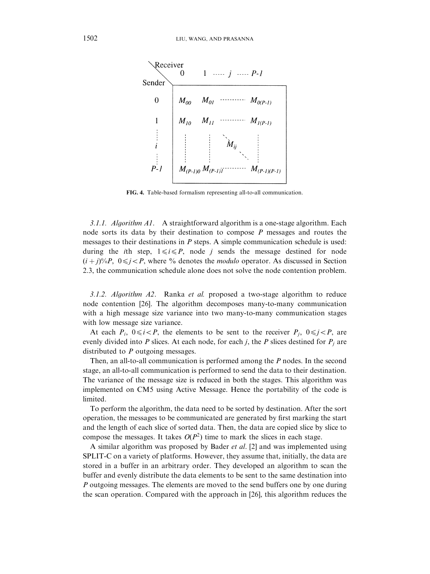<span id="page-9-0"></span>

FIG. 4. Table-based formalism representing all-to-all communication.

3.1.1. Algorithm  $AI$ . A straightforward algorithm is a one-stage algorithm. Each node sorts its data by their destination to compose P messages and routes the messages to their destinations in P steps. A simple communication schedule is used: during the *i*th step,  $1 \le i \le P$ , node *i* sends the message destined for node  $(i+j)\%P, \ 0 \le j < P$ , where % denotes the *modulo* operator. As discussed in Section 2.3, the communication schedule alone does not solve the node contention problem.

3.1.2. Algorithm  $A2$ . Ranka et al. proposed a two-stage algorithm to reduce node contention [\[26\].](#page-32-0) The algorithm decomposes many-to-many communication with a high message size variance into two many-to-many communication stages with low message size variance.

At each  $P_i$ ,  $0 \le i < P$ , the elements to be sent to the receiver  $P_j$ ,  $0 \le j < P$ , are evenly divided into P slices. At each node, for each j, the P slices destined for  $P_i$  are distributed to P outgoing messages.

Then, an all-to-all communication is performed among the P nodes. In the second stage, an all-to-all communication is performed to send the data to their destination. The variance of the message size is reduced in both the stages. This algorithm was implemented on CM5 using Active Message. Hence the portability of the code is limited.

To perform the algorithm, the data need to be sorted by destination. After the sort operation, the messages to be communicated are generated by first marking the start and the length of each slice of sorted data. Then, the data are copied slice by slice to compose the messages. It takes  $O(P^2)$  time to mark the slices in each stage.

A similar algorithm was proposed by Bader et al. [\[2\]](#page-31-0) and was implemented using SPLIT-C on a variety of platforms. However, they assume that, initially, the data are stored in a buffer in an arbitrary order. They developed an algorithm to scan the buffer and evenly distribute the data elements to be sent to the same destination into P outgoing messages. The elements are moved to the send buffers one by one during the scan operation. Compared with the approach in [\[26\],](#page-32-0) this algorithm reduces the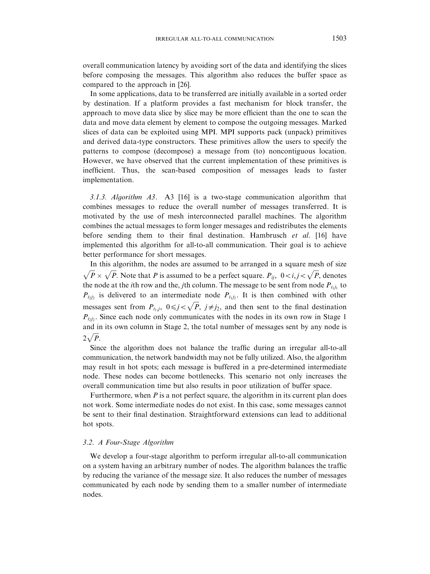overall communication latency by avoiding sort of the data and identifying the slices before composing the messages. This algorithm also reduces the buffer space as compared to the approach in [\[26\]](#page-32-0).

In some applications, data to be transferred are initially available in a sorted order by destination. If a platform provides a fast mechanism for block transfer, the approach to move data slice by slice may be more efficient than the one to scan the data and move data element by element to compose the outgoing messages. Marked slices of data can be exploited using MPI. MPI supports pack (unpack) primitives and derived data-type constructors. These primitives allow the users to specify the patterns to compose (decompose) a message from (to) noncontiguous location. However, we have observed that the current implementation of these primitives is inefficient. Thus, the scan-based composition of messages leads to faster implementation.

3.1.3. Algorithm A3. A3 [\[16\]](#page-32-0) is a two-stage communication algorithm that combines messages to reduce the overall number of messages transferred. It is motivated by the use of mesh interconnected parallel machines. The algorithm combines the actual messages to form longer messages and redistributes the elements before sending them to their final destination. Hambrusch et al. [\[16\]](#page-32-0) have implemented this algorithm for all-to-all communication. Their goal is to achieve better performance for short messages.

In this algorithm, the nodes are assumed to be arranged in a square mesh of size  $\sqrt{P} \times \sqrt{P}$ . Note that P is assumed to be a perfect square.  $P_{ij}$ ,  $0 < i,j < \sqrt{P}$ , denotes the node at the *i*th row and the, *j*th column. The message to be sent from node  $P_{i_1i_1}$  to  $P_{i_1i_2}$  is delivered to an intermediate node  $P_{i_1i_2}$ . It is then combined with other messages sent from  $P_{i_1,j}$ ,  $0 \le j < \sqrt{P}$ ,  $j \ne j_2$ , and then sent to the final destination  $P_{i_1j_2}$ . Since each node only communicates with the nodes in its own row in Stage 1 and in its own column in Stage 2, the total number of messages sent by any node is  $2\sqrt{P}$ .

Since the algorithm does not balance the traffic during an irregular all-to-all communication, the network bandwidth may not be fully utilized. Also, the algorithm may result in hot spots; each message is buffered in a pre-determined intermediate node. These nodes can become bottlenecks. This scenario not only increases the overall communication time but also results in poor utilization of buffer space.

Furthermore, when  $P$  is a not perfect square, the algorithm in its current plan does not work. Some intermediate nodes do not exist. In this case, some messages cannot be sent to their final destination. Straightforward extensions can lead to additional hot spots.

## 3.2. A Four-Stage Algorithm

We develop a four-stage algorithm to perform irregular all-to-all communication on a system having an arbitrary number of nodes. The algorithm balances the traffic by reducing the variance of the message size. It also reduces the number of messages communicated by each node by sending them to a smaller number of intermediate nodes.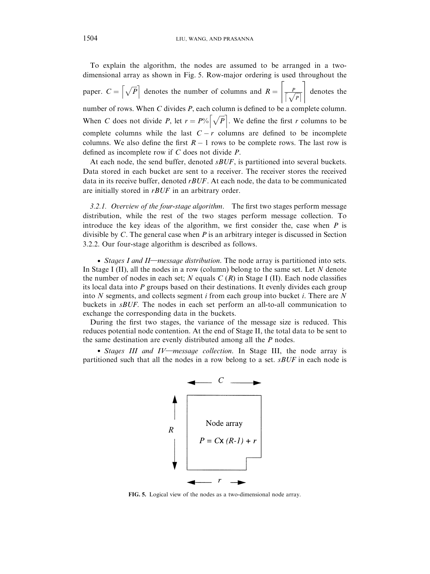To explain the algorithm, the nodes are assumed to be arranged in a twodimensional array as shown in Fig. 5. Row-major ordering is used throughout the paper.  $C = \left[\sqrt{P}\right]$  denotes the number of columns and  $R = \left[\frac{P}{\sqrt{P}}\right]$  $\overline{r}$   $\overline{r}$ denotes the number of rows. When C divides P, each column is defined to be a complete column. When C does not divide P, let  $r = P\sqrt[n]{\sqrt{P}}$ . We define the first r columns to be complete columns while the last  $C - r$  columns are defined to be incomplete columns. We also define the first  $R - 1$  rows to be complete rows. The last row is defined as incomplete row if C does not divide P.

At each node, the send buffer, denoted  $sBUF$ , is partitioned into several buckets. Data stored in each bucket are sent to a receiver. The receiver stores the received data in its receive buffer, denoted  $rBUF$ . At each node, the data to be communicated are initially stored in  $rBUF$  in an arbitrary order.

3.2.1. Overview of the four-stage algorithm. The first two stages perform message distribution, while the rest of the two stages perform message collection. To introduce the key ideas of the algorithm, we first consider the, case when  $P$  is divisible by C. The general case when  $P$  is an arbitrary integer is discussed in Section 3.2.2. Our four-stage algorithm is described as follows.

• Stages I and II—message distribution. The node array is partitioned into sets. In Stage I (II), all the nodes in a row (column) belong to the same set. Let  $N$  denote the number of nodes in each set; N equals  $C(R)$  in Stage I (II). Each node classifies its local data into  $P$  groups based on their destinations. It evenly divides each group into N segments, and collects segment i from each group into bucket i. There are N buckets in sBUF. The nodes in each set perform an all-to-all communication to exchange the corresponding data in the buckets.

During the first two stages, the variance of the message size is reduced. This reduces potential node contention. At the end of Stage II, the total data to be sent to the same destination are evenly distributed among all the P nodes.

• Stages III and IV—message collection. In Stage III, the node array is partitioned such that all the nodes in a row belong to a set.  $sBUF$  in each node is



FIG. 5. Logical view of the nodes as a two-dimensional node array.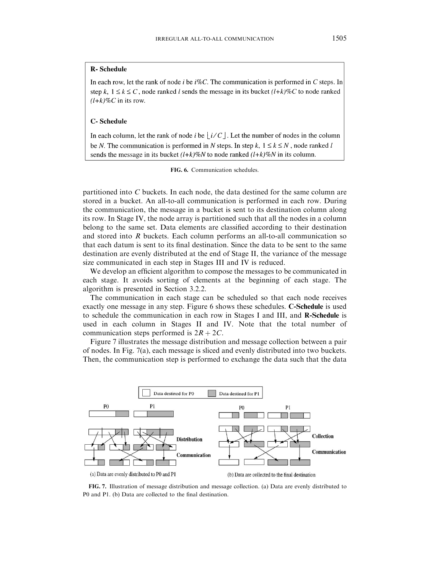## <span id="page-12-0"></span>**R-Schedule**

In each row, let the rank of node *i* be  $i\%C$ . The communication is performed in C steps. In step k,  $1 \le k \le C$ , node ranked l sends the message in its bucket  $(l+k)\%C$  to node ranked  $(l+k)\%C$  in its row.

#### **C-Schedule**

In each column, let the rank of node i be |  $i/C$  |. Let the number of nodes in the column be N. The communication is performed in N steps. In step k,  $1 \le k \le N$ , node ranked l sends the message in its bucket  $(l+k)\%N$  to node ranked  $(l+k)\%N$  in its column.

FIG. 6. Communication schedules.

partitioned into C buckets. In each node, the data destined for the same column are stored in a bucket. An all-to-all communication is performed in each row. During the communication, the message in a bucket is sent to its destination column along its row. In Stage IV, the node array is partitioned such that all the nodes in a column belong to the same set. Data elements are classified according to their destination and stored into R buckets. Each column performs an all-to-all communication so that each datum is sent to its final destination. Since the data to be sent to the same destination are evenly distributed at the end of Stage II, the variance of the message size communicated in each step in Stages III and IV is reduced.

We develop an efficient algorithm to compose the messages to be communicated in each stage. It avoids sorting of elements at the beginning of each stage. The algorithm is presented in Section 3.2.2.

The communication in each stage can be scheduled so that each node receives exactly one message in any step. Figure 6 shows these schedules. C-Schedule is used to schedule the communication in each row in Stages I and III, and R-Schedule is used in each column in Stages II and IV. Note that the total number of communication steps performed is  $2R + 2C$ .

Figure 7 illustrates the message distribution and message collection between a pair of nodes. In Fig. 7(a), each message is sliced and evenly distributed into two buckets. Then, the communication step is performed to exchange the data such that the data



FIG. 7. Illustration of message distribution and message collection. (a) Data are evenly distributed to P0 and P1. (b) Data are collected to the final destination.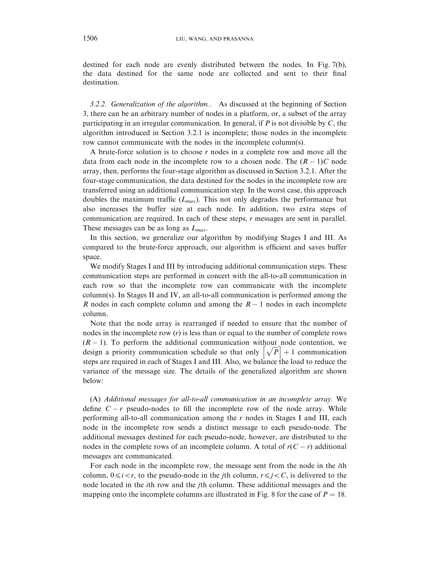destined for each node are evenly distributed between the nodes. In [Fig. 7\(b\)](#page-12-0), the data destined for the same node are collected and sent to their final destination.

3.2.2. Generalization of the algorithm.. As discussed at the beginning of Section 3, there can be an arbitrary number of nodes in a platform, or, a subset of the array participating in an irregular communication. In general, if  $P$  is not divisible by  $C$ , the algorithm introduced in Section 3.2.1 is incomplete; those nodes in the incomplete row cannot communicate with the nodes in the incomplete column(s).

A brute-force solution is to choose  $r$  nodes in a complete row and move all the data from each node in the incomplete row to a chosen node. The  $(R - 1)C$  node array, then, performs the four-stage algorithm as discussed in Section 3.2.1. After the four-stage communication, the data destined for the nodes in the incomplete row are transferred using an additional communication step. In the worst case, this approach doubles the maximum traffic  $(L_{max})$ . This not only degrades the performance but also increases the buffer size at each node. In addition, two extra steps of communication are required. In each of these steps, r messages are sent in parallel. These messages can be as long as  $L_{max}$ .

In this section, we generalize our algorithm by modifying Stages I and III. As compared to the brute-force approach, our algorithm is efficient and saves buffer space.

We modify Stages I and III by introducing additional communication steps. These communication steps are performed in concert with the all-to-all communication in each row so that the incomplete row can communicate with the incomplete  $\text{column(s)}$ . In Stages II and IV, an all-to-all communication is performed among the R nodes in each complete column and among the  $R - 1$  nodes in each incomplete column.

Note that the node array is rearranged if needed to ensure that the number of nodes in the incomplete row  $(r)$  is less than or equal to the number of complete rows  $(R - 1)$ . To perform the additional communication without node contention, we  $(K-1)$ . To perform the additional communication without hode contention, we design a priority communication schedule so that only  $\left[\sqrt{P}\right] + 1$  communication steps are required in each of Stages I and III. Also, we balance the load to reduce the variance of the message size. The details of the generalized algorithm are shown below:

(A) Additional messages for all-to-all communication in an incomplete array. We define  $C - r$  pseudo-nodes to fill the incomplete row of the node array. While performing all-to-all communication among the  $r$  nodes in Stages I and III, each node in the incomplete row sends a distinct message to each pseudo-node. The additional messages destined for each pseudo-node, however, are distributed to the nodes in the complete rows of an incomplete column. A total of  $r(C - r)$  additional messages are communicated.

For each node in the incomplete row, the message sent from the node in the ith column,  $0 \le i < r$ , to the pseudo-node in the *j*th column,  $r \le j < C$ , is delivered to the node located in the ith row and the jth column. These additional messages and the mapping onto the incomplete columns are illustrated i[n Fig. 8 f](#page-14-0)or the case of  $P = 18$ .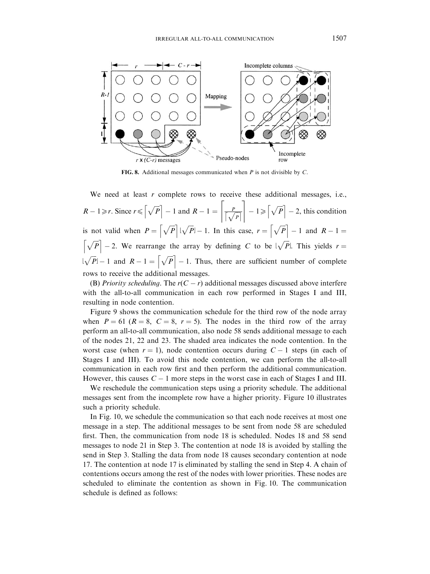<span id="page-14-0"></span>

FIG. 8. Additional messages communicated when  $P$  is not divisible by  $C$ .

We need at least  $r$  complete rows to receive these additional messages, i.e.,  $R-1 \ge r$ . Since  $r \le \left\lceil \sqrt{P} \right\rceil - 1$  and  $R-1 = \left\lceil \frac{P}{\left\lceil \sqrt{P} \right\rceil} \right\rceil$  $\left[\frac{P}{\sqrt{P}}\right] - 1 \geqslant \left[\sqrt{P}\right] - 2$ , this condition is not valid when  $P = \left[\sqrt{P}\right] \lfloor \sqrt{P} \rfloor - 1$ . In this case,  $r = \left[\sqrt{P}\right] - 1$  and  $R - 1 =$  $\left[\sqrt{P}\right] - 2$ . We rearrange the array by defining C to be  $\sqrt{P}$ . This yields  $r =$  $\bar{R}|\sqrt{P}|-1$  and  $R-1=\lceil \sqrt{P} \rceil -1$ . Thus, there are sufficient number of complete rows to receive the additional messages.

(B) Priority scheduling. The  $r(C - r)$  additional messages discussed above interfere with the all-to-all communication in each row performed in Stages I and III, resulting in node contention.

[Figure 9](#page-15-0) shows the communication schedule for the third row of the node array when  $P = 61$  ( $R = 8$ ,  $C = 8$ ,  $r = 5$ ). The nodes in the third row of the array perform an all-to-all communication, also node 58 sends additional message to each of the nodes 21, 22 and 23. The shaded area indicates the node contention. In the worst case (when  $r = 1$ ), node contention occurs during  $C - 1$  steps (in each of Stages I and III). To avoid this node contention, we can perform the all-to-all communication in each row first and then perform the additional communication. However, this causes  $C - 1$  more steps in the worst case in each of Stages I and III.

We reschedule the communication steps using a priority schedule. The additional messages sent from the incomplete row have a higher priority. [Figure 10](#page-15-0) illustrates such a priority schedule.

In [Fig. 10,](#page-15-0) we schedule the communication so that each node receives at most one message in a step. The additional messages to be sent from node 58 are scheduled first. Then, the communication from node 18 is scheduled. Nodes 18 and 58 send messages to node 21 in Step 3. The contention at node 18 is avoided by stalling the send in Step 3. Stalling the data from node 18 causes secondary contention at node 17. The contention at node 17 is eliminated by stalling the send in Step 4. A chain of contentions occurs among the rest of the nodes with lower priorities. These nodes are scheduled to eliminate the contention as shown in [Fig. 10.](#page-15-0) The communication schedule is defined as follows: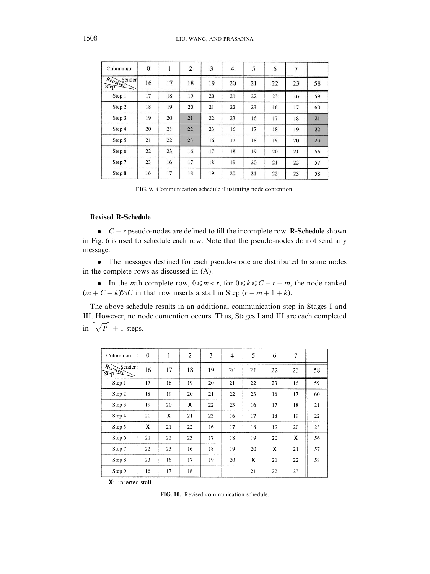<span id="page-15-0"></span>

| Column no.                 | $\theta$ |    | $\overline{2}$ | 3  | 4  | 5  | 6  | 7  |    |
|----------------------------|----------|----|----------------|----|----|----|----|----|----|
| Receiver<br>Sender<br>Step | 16       | 17 | 18             | 19 | 20 | 21 | 22 | 23 | 58 |
| Step 1                     | 17       | 18 | 19             | 20 | 21 | 22 | 23 | 16 | 59 |
| Step 2                     | 18       | 19 | 20             | 21 | 22 | 23 | 16 | 17 | 60 |
| Step 3                     | 19       | 20 | 21             | 22 | 23 | 16 | 17 | 18 | 21 |
| Step 4                     | 20       | 21 | 22             | 23 | 16 | 17 | 18 | 19 | 22 |
| Step 5                     | 21       | 22 | 23             | 16 | 17 | 18 | 19 | 20 | 23 |
| Step 6                     | 22       | 23 | 16             | 17 | 18 | 19 | 20 | 21 | 56 |
| Step 7                     | 23       | 16 | 17             | 18 | 19 | 20 | 21 | 22 | 57 |
| Step 8                     | 16       | 17 | 18             | 19 | 20 | 21 | 22 | 23 | 58 |

FIG. 9. Communication schedule illustrating node contention.

## Revised R-Schedule

 $\bullet$   $C - r$  pseudo-nodes are defined to fill the incomplete row. **R-Schedule** shown in [Fig. 6](#page-12-0) is used to schedule each row. Note that the pseudo-nodes do not send any message.

. The messages destined for each pseudo-node are distributed to some nodes in the complete rows as discussed in (A).

• In the *mth* complete row,  $0 \le m < r$ , for  $0 \le k \le C - r + m$ , the node ranked  $(m + C - k)\%C$  in that row inserts a stall in Step  $(r - m + 1 + k)$ .

The above schedule results in an additional communication step in Stages I and III. However, no node contention occurs. Thus, Stages I and III are each completed in  $\left[\sqrt{P}\right] + 1$  steps.

| Column no.                    | $\Omega$ | 1  | $\overline{2}$ | 3  | 4  | 5  | 6  | 7  |    |
|-------------------------------|----------|----|----------------|----|----|----|----|----|----|
| Sender<br>$R_{c_{C}}$<br>Step | 16       | 17 | 18             | 19 | 20 | 21 | 22 | 23 | 58 |
| Step 1                        | 17       | 18 | 19             | 20 | 21 | 22 | 23 | 16 | 59 |
| Step 2                        | 18       | 19 | 20             | 21 | 22 | 23 | 16 | 17 | 60 |
| Step 3                        | 19       | 20 | X              | 22 | 23 | 16 | 17 | 18 | 21 |
| Step 4                        | 20       | X  | 21             | 23 | 16 | 17 | 18 | 19 | 22 |
| Step 5                        | X        | 21 | 22             | 16 | 17 | 18 | 19 | 20 | 23 |
| Step 6                        | 21       | 22 | 23             | 17 | 18 | 19 | 20 | x  | 56 |
| Step 7                        | 22       | 23 | 16             | 18 | 19 | 20 | X  | 21 | 57 |
| Step 8                        | 23       | 16 | 17             | 19 | 20 | X  | 21 | 22 | 58 |
| Step 9                        | 16       | 17 | 18             |    |    | 21 | 22 | 23 |    |

 $X:$  inserted stall

FIG. 10. Revised communication schedule.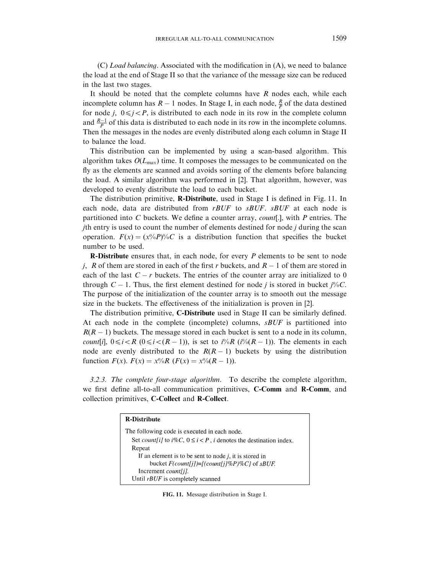(C) Load balancing. Associated with the modification in (A), we need to balance the load at the end of Stage II so that the variance of the message size can be reduced in the last two stages.

It should be noted that the complete columns have  $R$  nodes each, while each incomplete column has  $R-1$  nodes. In Stage I, in each node,  $\frac{R}{P}$  of the data destined for node j,  $0 \le j < P$ , is distributed to each node in its row in the complete column and  $\frac{R-1}{P}$  of this data is distributed to each node in its row in the incomplete columns. Then the messages in the nodes are evenly distributed along each column in Stage II to balance the load.

This distribution can be implemented by using a scan-based algorithm. This algorithm takes  $O(L_{max})$  time. It composes the messages to be communicated on the fly as the elements are scanned and avoids sorting of the elements before balancing the load. A similar algorithm was performed in [\[2\].](#page-31-0) That algorithm, however, was developed to evenly distribute the load to each bucket.

The distribution primitive, R-Distribute, used in Stage I is defined in Fig. 11. In each node, data are distributed from  $rBUF$  to  $sBUF$ .  $sBUF$  at each node is partitioned into C buckets. We define a counter array, *count*[.], with P entries. The jth entry is used to count the number of elements destined for node j during the scan operation.  $F(x) = (x^{0} \& P)^{0} \& C$  is a distribution function that specifies the bucket number to be used.

**R-Distribute** ensures that, in each node, for every  $P$  elements to be sent to node j, R of them are stored in each of the first r buckets, and  $R - 1$  of them are stored in each of the last  $C - r$  buckets. The entries of the counter array are initialized to 0 through  $C - 1$ . Thus, the first element destined for node *j* is stored in bucket  $j\%C$ . The purpose of the initialization of the counter array is to smooth out the message size in the buckets. The effectiveness of the initialization is proven in [\[2\].](#page-31-0)

The distribution primitive, C-Distribute used in Stage II can be similarly defined. At each node in the complete (incomplete) columns,  $sBUF$  is partitioned into  $R(R - 1)$  buckets. The message stored in each bucket is sent to a node in its column, *count*[i],  $0 \le i \le R$  ( $0 \le i \le (R-1)$ ), is set to  $i\sqrt[6]{aR}$  ( $i\sqrt[6]{(R-1)}$ ). The elements in each node are evenly distributed to the  $R(R - 1)$  buckets by using the distribution function  $F(x)$ .  $F(x) = x\%R$   $(F(x) = x\% (R - 1))$ .

3.2.3. The complete four-stage algorithm. To describe the complete algorithm, we first define all-to-all communication primitives, C-Comm and R-Comm, and collection primitives, C-Collect and R-Collect.

| <b>R-Distribute</b>                                                                     |
|-----------------------------------------------------------------------------------------|
| The following code is executed in each node.                                            |
| Set <i>count[i]</i> to $i\%C$ , $0 \le i < P$ , <i>i</i> denotes the destination index. |
| Repeat                                                                                  |
| If an element is to be sent to node $j$ , it is stored in                               |
| bucket $F$ (count[j])=[(count[j]%P)%C] of sBUF.                                         |
| Increment <i>count[i]</i> .                                                             |
| Until rBUF is completely scanned                                                        |

FIG. 11. Message distribution in Stage I.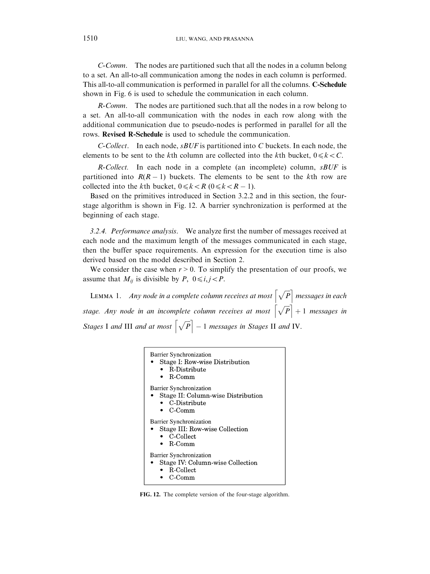C-Comm. The nodes are partitioned such that all the nodes in a column belong to a set. An all-to-all communication among the nodes in each column is performed. This all-to-all communication is performed in parallel for all the columns. C-Schedule shown in [Fig. 6](#page-12-0) is used to schedule the communication in each column.

R-Comm. The nodes are partitioned such.that all the nodes in a row belong to a set. An all-to-all communication with the nodes in each row along with the additional communication due to pseudo-nodes is performed in parallel for all the rows. Revised R-Schedule is used to schedule the communication.

C-Collect. In each node,  $sBUF$  is partitioned into C buckets. In each node, the elements to be sent to the kth column are collected into the kth bucket,  $0 \le k < C$ .

 $R$ -Collect. In each node in a complete (an incomplete) column,  $sBUF$  is partitioned into  $R(R - 1)$  buckets. The elements to be sent to the kth row are collected into the kth bucket,  $0 \le k < R$  ( $0 \le k < R - 1$ ).

Based on the primitives introduced in Section 3.2.2 and in this section, the fourstage algorithm is shown in Fig. 12. A barrier synchronization is performed at the beginning of each stage.

3.2.4. Performance analysis. We analyze first the number of messages received at each node and the maximum length of the messages communicated in each stage, then the buffer space requirements. An expression for the execution time is also derived based on the model described in [Section 2.](#page-2-0)

We consider the case when  $r > 0$ . To simplify the presentation of our proofs, we assume that  $M_{ij}$  is divisible by P,  $0 \le i, j < P$ .

LEMMA 1. Any node in a complete column receives at most  $\left[\sqrt{P}\right]$  messages in each stage. Any node in an incomplete column receives at most  $\vert$  $\left[\sqrt{P}\right] + 1$  messages in Stages I and III and at most  $\left[\sqrt{P}\right] - 1$  messages in Stages II and IV.



FIG. 12. The complete version of the four-stage algorithm.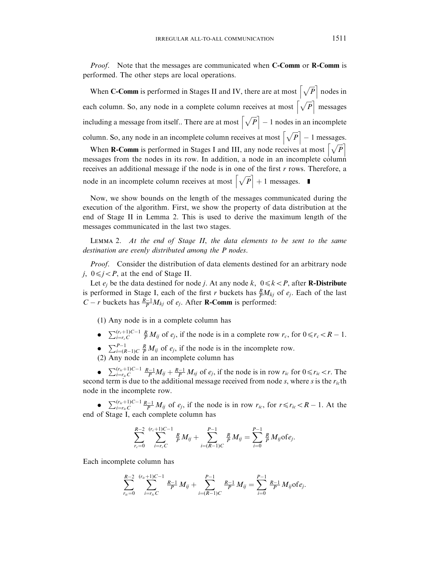*Proof.* Note that the messages are communicated when **C-Comm** or **R-Comm** is performed. The other steps are local operations.

When **C-Comm** is performed in Stages II and IV, there are at most  $\left[\sqrt{P}\right]$  nodes in each column. So, any node in a complete column receives at most  $\left[\sqrt{P}\right]$  messages including a message from itself.. There are at most  $\left[\sqrt{P}\right] - 1$  nodes in an incomplete column. So, any node in an incomplete column receives at most  $\left[\sqrt{P}\right] - 1$  messages.  $\begin{bmatrix} 1 & -1 \\ -1 & 1 \end{bmatrix}$ 

When **R-Comm** is performed in Stages I and III, any node receives at most  $\sqrt{\overline{P}}$ messages from the nodes in its row. In addition, a node in an incomplete column receives an additional message if the node is in one of the first r rows. Therefore, a node in an incomplete column receives at most  $\left[\sqrt{P}\right] + 1$  messages.

Now, we show bounds on the length of the messages communicated during the execution of the algorithm. First, we show the property of data distribution at the end of Stage II in Lemma 2. This is used to derive the maximum length of the messages communicated in the last two stages.

Lemma 2. At the end of Stage II, the data elements to be sent to the same destination are evenly distributed among the P nodes.

Proof. Consider the distribution of data elements destined for an arbitrary node j,  $0 \le j < P$ , at the end of Stage II.

Let  $e_i$  be the data destined for node j. At any node k,  $0 \le k \le P$ , after **R-Distribute** is performed in Stage I, each of the first r buckets has  $\frac{R}{P}M_{kj}$  of  $e_j$ . Each of the last  $C - r$  buckets has  $\frac{R-1}{P}M_{kj}$  of  $e_j$ . After **R-Comm** is performed:

(1)Any node is in a complete column has

- $\sum_{i=r_c}^{(r_c+1)C-1} \frac{R}{P} M_{ij}$  of  $e_j$ , if the node is in a complete row  $r_c$ , for  $0 \le r_c < R 1$ .
- $\bullet$   $\sum_{i=(R-1)C}^{P-1} \frac{R}{P} M_{ij}$  of  $e_j$ , if the node is in the incomplete row.

(2)Any node in an incomplete column has

•  $\sum_{i=r_{ic}}^{(r_{ic}+1)C-1} \frac{R-1}{P} M_{ij} + \frac{R-1}{P} M_{sj}$  of  $e_j$ , if the node is in row  $r_{ic}$  for  $0 \le r_{ic} < r$ . The second term is due to the additional message received from node s, where s is the  $r_{ic}$ th node in the incomplete row.

•  $\sum_{i=r_{ic}}^{(r_{ic}+1)C-1} \frac{R-1}{P} M_{ij}$  of  $e_j$ , if the node is in row  $r_{ic}$ , for  $r \le r_{ic} < R-1$ . At the end of Stage I, each complete column has

$$
\sum_{r_c=0}^{R-2} \sum_{i=r_c}^{(r_c+1)C-1} \frac{R}{P} M_{ij} + \sum_{i=(R-1)C}^{P-1} \frac{R}{P} M_{ij} = \sum_{i=0}^{P-1} \frac{R}{P} M_{ij} \text{ of } e_j.
$$

Each incomplete column has

$$
\sum_{r_{ic}=0}^{R-2} \sum_{i=r_{ic}C}^{(r_{ic}+1)C-1} \frac{R-1}{P} M_{ij} + \sum_{i=(R-1)C}^{P-1} \frac{R-1}{P} M_{ij} = \sum_{i=0}^{P-1} \frac{R-1}{P} M_{ij} \text{of } e_j.
$$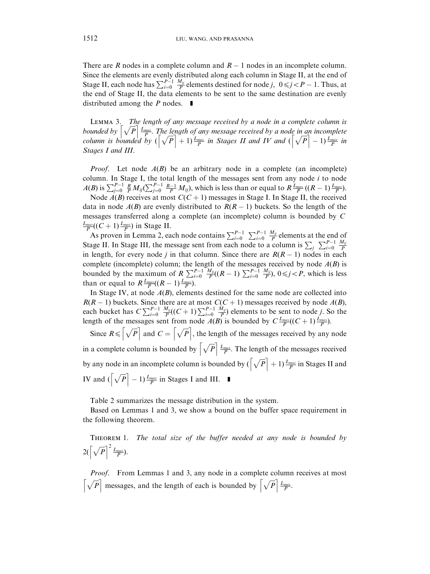There are R nodes in a complete column and  $R-1$  nodes in an incomplete column. Since the elements are evenly distributed along each column in Stage II, at the end of Stage II, each node has  $\sum_{i=0}^{P-1} \frac{M_{ij}}{P}$  elements destined for node j,  $0 \le j < P-1$ . Thus, at the end of Stage II, the data elements to be sent to the same destination are evenly distributed among the  $P$  nodes.  $\blacksquare$ 

LEMMA 3. The length of any message received by a node in a complete column is LEMMA 5. The length of any message received by a node in an incomplete<br>bounded by  $\left[\sqrt{P}\right] \frac{L_{max}}{P}$ . The length of any message received by a node in an incomplete<br>column is bounded by  $\left[\sqrt{P}\right]+1\right) \frac{L_{max}}{P}$  in Stag Stages I and III.

*Proof.* Let node  $A(B)$  be an arbitrary node in a complete (an incomplete) column. In Stage I, the total length of the messages sent from any node  $i$  to node  $A(B)$  is  $\sum_{j=0}^{P-1} \frac{R}{P} M_{ij} (\sum_{j=0}^{P-1} \frac{R-1}{P} M_{ij})$ , which is less than or equal to  $R \frac{L_{max}}{P} ((R-1) \frac{L_{max}}{P})$ .

Node  $A(B)$  receives at most  $C(C + 1)$  messages in Stage I. In Stage II, the received data in node  $A(B)$  are evenly distributed to  $R(R - 1)$  buckets. So the length of the messages transferred along a complete (an incomplete) column is bounded by  $C$  $\frac{L_{max}}{P}((C+1)\frac{L_{max}}{P})$  in Stage II.

As proven in Lemma 2, each node contains  $\sum_{i=0}^{P-1} \sum_{i=0}^{P-1} \frac{M_{ij}}{P}$  elements at the end of Stage II. In Stage III, the message sent from each node to a column is  $\sum_j \sum_{i=0}^{P-1} \frac{M_{ij}}{P}$ in length, for every node j in that column. Since there are  $R(R - 1)$  nodes in each complete (incomplete) column; the length of the messages received by node  $A(B)$  is bounded by the maximum of  $R \sum_{i=0}^{P-1} \frac{M_{ij}}{P}((R-1) \sum_{i=0}^{P-1} \frac{M_{ij}}{P})$ ,  $0 \le j < P$ , which is less than or equal to  $R \frac{L_{max}}{P}((R-1)\frac{L_{max}}{P}).$ 

In Stage IV, at node  $A(B)$ , elements destined for the same node are collected into  $R(R-1)$  buckets. Since there are at most  $C(C+1)$  messages received by node  $A(B)$ , each bucket has  $C \sum_{i=0}^{P-1} \frac{M_{ij}}{P}((C+1) \sum_{i=0}^{P-1} \frac{M_{ij}}{P})$  elements to be sent to node j. So the length of the messages sent from node  $A(B)$  is bounded by  $C \frac{L_{max}}{P}((C+1)\frac{L_{max}}{P})$ .

Since  $R \leq \left[\sqrt{P}\right]$  and  $C = \left[\sqrt{P}\right]$ , the length of the messages received by any node in a complete column is bounded by  $\left[\sqrt{P}\right]\frac{L_{max}}{P}$ . The length of the messages received by any node in an incomplete column is bounded by  $\left(\sqrt{P}+1\right)\frac{L_{max}}{P}$  in Stages II and IV and  $(\sqrt{P} - 1) \frac{L_{max}}{P}$  in Stages I and III.

[Table 2](#page-20-0) summarizes the message distribution in the system.

Based on Lemmas 1 and 3, we show a bound on the buffer space requirement in the following theorem.

Theorem 1. The total size of the buffer needed at any node is bounded by  $2\left(\sqrt{P}\right)^2 \frac{L_{max}}{P}.$ 

Proof. From Lemmas 1 and 3, any node in a complete column receives at most  $\left[\sqrt{P}\right]$  messages, and the length of each is bounded by  $\left[\sqrt{P}\right] \frac{L_{max}}{P}$ .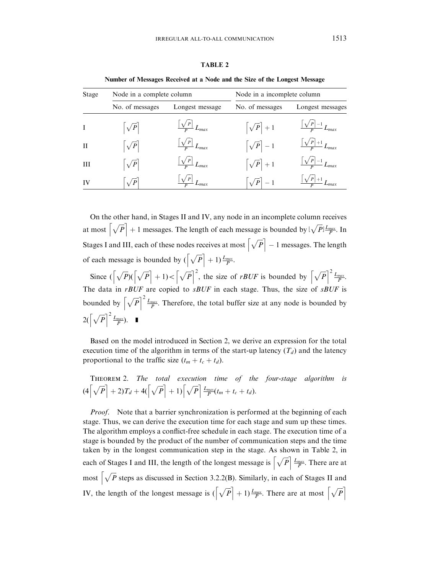<span id="page-20-0"></span>

| Stage        | Node in a complete column |                                  | Node in a incomplete column |                                            |  |
|--------------|---------------------------|----------------------------------|-----------------------------|--------------------------------------------|--|
|              | No. of messages           | Longest message                  | No. of messages             | Longest messages                           |  |
|              | $\left \sqrt{P}\right $   | $\frac{ \sqrt{P} }{P}$ $L_{max}$ | $\left[\sqrt{P}\right] + 1$ | $\sqrt{P-1}$ $L_{max}$                     |  |
| $\mathbf{H}$ | $\left \sqrt{P}\right $   | $\frac{ \sqrt{P} }{P}L_{max}$    | $\left[\sqrt{P}\right]-1$   | $\frac{\left \sqrt{P}\right +1}{P}L_{max}$ |  |
| H            | $\sqrt{P}$                | $\frac{ \sqrt{P} }{P}L_{max}$    | $\left[\sqrt{P}\right] + 1$ | $\sqrt{\frac{P-1}{P}}L_{max}$              |  |
| IV           | $\sqrt{P}$                |                                  | $\sqrt{P}$ – 1              | $\sqrt{P\left +1\right }$                  |  |

TABLE 2

Number of Messages Received at a Node and the Size of the Longest Message

On the other hand, in Stages II and IV, any node in an incomplete column receives at most  $\left[\sqrt{P}\right] + 1$  messages. The length of each message is bounded by  $\lfloor \sqrt{P} \rfloor \frac{L_{max}}{P}$ . In Stages I and III, each of these nodes receives at most  $\left[\sqrt{P}\right] - 1$  messages. The length of each message is bounded by  $\left(\sqrt{P}\right] + 1 \frac{L_{max}}{P}$ .

Since  $\left(\left[\sqrt{P}\right]\left(\left[\sqrt{P}\right]+1\right)<\left[\sqrt{P}\right]^2\right]$ , the size of rBUF is bounded by  $\left[\sqrt{P}\right]^2\frac{L_{max}}{P}$ . The data in rBUF are copied to sBUF in each stage. Thus, the size of sBUF is bounded by  $\left[\sqrt{P}\right]^2 \frac{L_{max}}{P}$ . Therefore, the total buffer size at any node is bounded by  $2\left(\left[\sqrt{P}\right]^2 \frac{L_{max}}{P}\right).$ 

Based on the model introduced in [Section 2,](#page-2-0) we derive an expression for the total execution time of the algorithm in terms of the start-up latency  $(T_d)$  and the latency proportional to the traffic size  $(t_m + t_c + t_d)$ .

THEOREM 2. The total execution time of the four-stage algorithm is  
\n
$$
(4\left\lceil \sqrt{P} \right\rceil + 2)T_d + 4\left(\left\lceil \sqrt{P} \right\rceil + 1\right)\left\lceil \sqrt{P} \right\rceil \frac{L_{max}}{P}(t_m + t_c + t_d).
$$

Proof. Note that a barrier synchronization is performed at the beginning of each stage. Thus, we can derive the execution time for each stage and sum up these times. The algorithm employs a conflict-free schedule in each stage. The execution time of a stage is bounded by the product of the number of communication steps and the time taken by in the longest communication step in the stage. As shown in Table 2, in each of Stages I and III, the length of the longest message is  $\left[\sqrt{P}\right] \frac{L_{max}}{P}$ . There are at most  $\left[\sqrt{P}\right]$  steps as discussed in Section 3.2.2(B). Similarly, in each of Stages II and IV, the length of the longest message is  $\left(\sqrt{P}+1\right)\frac{L_{max}}{P}$ . There are at most  $\left[\sqrt{P}\right]$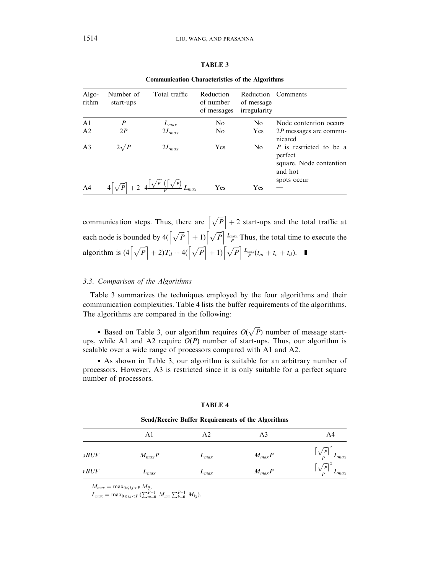| A RT |  |
|------|--|
|------|--|

<span id="page-21-0"></span>

| Algo-<br>rithm | Number of<br>start-ups | Total traffic | Reduction<br>of number<br>of messages | of message<br>irregularity | Reduction Comments                                                                      |
|----------------|------------------------|---------------|---------------------------------------|----------------------------|-----------------------------------------------------------------------------------------|
| A <sub>1</sub> | $\boldsymbol{P}$       | $L_{max}$     | No                                    | N <sub>0</sub>             | Node contention occurs                                                                  |
| A <sub>2</sub> | 2P                     | $2L_{max}$    | No                                    | <b>Yes</b>                 | $2P$ messages are commu-<br>nicated                                                     |
| A <sub>3</sub> | $2\sqrt{P}$            | $2L_{max}$    | Yes                                   | N <sub>0</sub>             | P is restricted to be a<br>perfect<br>square. Node contention<br>and hot<br>spots occur |
| A <sub>4</sub> |                        |               | Yes                                   | Yes                        |                                                                                         |

Communication Characteristics of the Algorithms

communication steps. Thus, there are  $\left[\sqrt{P}\right] + 2$  start-ups and the total traffic at each node is bounded by  $4\left(\sqrt{P} \right) + 1\right) \left(\sqrt{P} \right) \frac{L_{max}}{P}$  Thus, the total time to execute the algorithm is  $(4\lceil \sqrt{P} \rceil + 2)T_d + 4(\lceil \sqrt{P} \rceil + 1)\lceil \sqrt{P} \rceil \frac{L_{max}}{P}(t_m + t_c + t_d)$ .

#### 3.3. Comparison of the Algorithms

Table 3 summarizes the techniques employed by the four algorithms and their communication complexities. Table 4 lists the buffer requirements of the algorithms. The algorithms are compared in the following:

• Based on Table 3, our algorithm requires  $O(\sqrt{P})$  number of message startups, while A1 and A2 require  $O(P)$  number of start-ups. Thus, our algorithm is scalable over a wide range of processors compared with A1 and A2.

\* As shown in Table 3, our algorithm is suitable for an arbitrary number of processors. However, A3 is restricted since it is only suitable for a perfect square number of processors.

| Send/Receive Buffer Requirements of the Algorithms |            |           |            |           |
|----------------------------------------------------|------------|-----------|------------|-----------|
|                                                    | A1         | A2        |            | A4        |
| <i>sBUF</i>                                        | $M_{max}P$ | $L_{max}$ | $M_{max}P$ | $L_{max}$ |
| rBUF                                               | $L_{max}$  | $L_{max}$ | $M_{max}P$ | $L_{max}$ |

TABLE 4

 $M_{max} = \max_{0 \le i,j < P} M_{ij},$ 

 $L_{max} = \max_{0 \le i,j \le P} \sum_{m=0}^{P-1} M_{im}, \sum_{k=0}^{P-1} M_{kj}$ .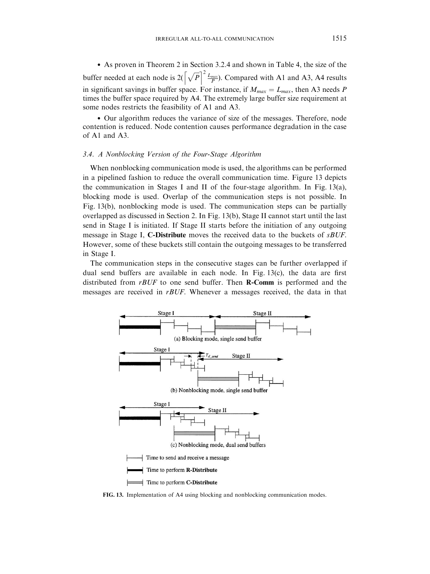\* As proven in Theorem 2 in Section 3.2.4 and shown in [Table 4,](#page-21-0) the size of the buffer needed at each node is  $2\left(\sqrt{P}\right)^2 \frac{L_{max}}{P}$ . Compared with A1 and A3, A4 results in significant savings in buffer space. For instance, if  $M_{max} = L_{max}$ , then A3 needs P times the buffer space required by A4. The extremely large buffer size requirement at some nodes restricts the feasibility of A1 and A3.

\* Our algorithm reduces the variance of size of the messages. Therefore, node contention is reduced. Node contention causes performance degradation in the case of A1 and A3.

#### 3.4. A Nonblocking Version of the Four-Stage Algorithm

When nonblocking communication mode is used, the algorithms can be performed in a pipelined fashion to reduce the overall communication time. Figure 13 depicts the communication in Stages I and II of the four-stage algorithm. In Fig. 13(a), blocking mode is used. Overlap of the communication steps is not possible. In Fig. 13(b), nonblocking mode is used. The communication steps can be partially overlapped as discussed in [Section 2.](#page-2-0) In Fig. 13(b), Stage II cannot start until the last send in Stage I is initiated. If Stage II starts before the initiation of any outgoing message in Stage I, C-Distribute moves the received data to the buckets of *sBUF*. However, some of these buckets still contain the outgoing messages to be transferred in Stage I.

The communication steps in the consecutive stages can be further overlapped if dual send buffers are available in each node. In Fig. 13(c), the data are first distributed from  $rBUF$  to one send buffer. Then **R-Comm** is performed and the messages are received in rBUF. Whenever a messages received, the data in that



FIG. 13. Implementation of A4 using blocking and nonblocking communication modes.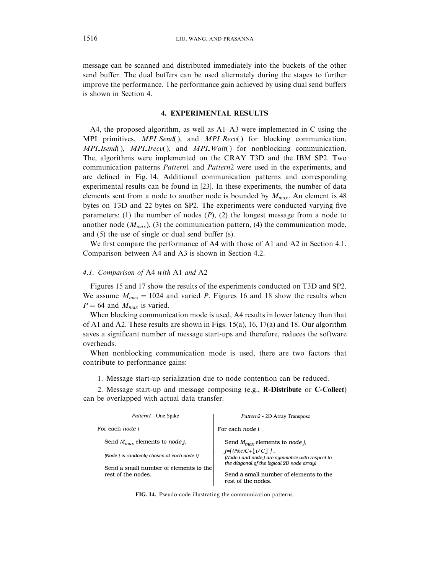<span id="page-23-0"></span>message can be scanned and distributed immediately into the buckets of the other send buffer. The dual buffers can be used alternately during the stages to further improve the performance. The performance gain achieved by using dual send buffers is shown in Section 4.

#### 4. EXPERIMENTAL RESULTS

A4, the proposed algorithm, as well as A1–A3 were implemented in C using the MPI primitives,  $MPI\_Send()$ , and  $MPI\_Recv()$  for blocking communication,  $MPI\_Isend(), MPI\_Irecv(), and MPI\_Wait()$  for nonblocking communication. The, algorithms were implemented on the CRAY T3D and the IBM SP2. Two communication patterns *Pattern*1 and *Pattern*2 were used in the experiments, and are defined in Fig. 14. Additional communication patterns and corresponding experimental results can be found in [\[23](#page-32-0)]. In these experiments, the number of data elements sent from a node to another node is bounded by  $M_{max}$ . An element is 48 bytes on T3D and 22 bytes on SP2. The experiments were conducted varying five parameters: (1) the number of nodes  $(P)$ ,  $(2)$  the longest message from a node to another node  $(M_{max})$ , (3) the communication pattern, (4) the communication mode, and  $(5)$  the use of single or dual send buffer  $(s)$ .

We first compare the performance of A4 with those of A1 and A2 in Section 4.1. Comparison between A4 and A3 is shown in Section 4.2.

## 4.1. Comparison of A4 with A1 and A2

[Figures 15](#page-24-0) and [17](#page-26-0) show the results of the experiments conducted on T3D and SP2. We assume  $M_{max} = 1024$  and varied P. [Figures 16](#page-25-0) and [18](#page-27-0) show the results when  $P = 64$  and  $M_{max}$  is varied.

When blocking communication mode is used, A4 results in lower latency than that of A1 and A2. These results are shown i[n Figs. 15\(a\)](#page-24-0), [16,](#page-25-0) [17\(a\)](#page-26-0) and [18.](#page-27-0) Our algorithm saves a significant number of message start-ups and therefore, reduces the software overheads.

When nonblocking communication mode is used, there are two factors that contribute to performance gains:

1. Message start-up serialization due to node contention can be reduced.

2. Message start-up and message composing (e.g., R-Distribute or C-Collect) can be overlapped with actual data transfer.

| <i>Pattern1</i> - One Spike                                  | <i>Pattern2</i> - 2D Array Transpose                                                                                    |
|--------------------------------------------------------------|-------------------------------------------------------------------------------------------------------------------------|
| For each node i                                              | For each node i                                                                                                         |
| Send $M_{max}$ elements to <i>node j.</i>                    | Send $M_{max}$ elements to node j,                                                                                      |
| (Node i is randomly chosen at each node i)                   | $i=[(i\%c)C+ i/C ]$ .<br>(Node i and node j are symmetric with respect to<br>the diagonal of the logical 2D node array) |
| Send a small number of elements to the<br>rest of the nodes. | Send a small number of elements to the<br>rest of the nodes.                                                            |

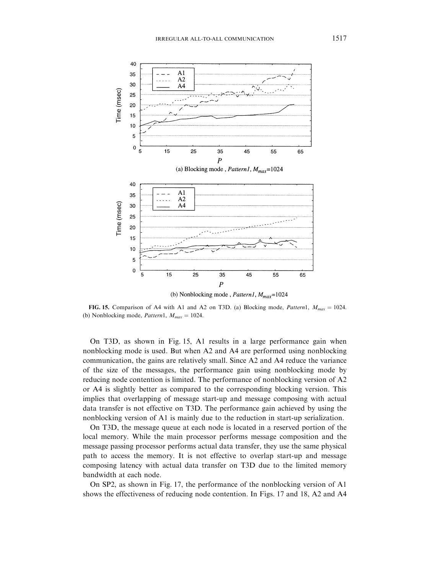<span id="page-24-0"></span>

FIG. 15. Comparison of A4 with A1 and A2 on T3D. (a) Blocking mode, Pattern1,  $M_{max} = 1024$ . (b) Nonblocking mode, *Pattern1*,  $M_{max} = 1024$ .

On T3D, as shown in Fig. 15, A1 results in a large performance gain when nonblocking mode is used. But when A2 and A4 are performed using nonblocking communication, the gains are relatively small. Since A2 and A4 reduce the variance of the size of the messages, the performance gain using nonblocking mode by reducing node contention is limited. The performance of nonblocking version of A2 or A4 is slightly better as compared to the corresponding blocking version. This implies that overlapping of message start-up and message composing with actual data transfer is not effective on T3D. The performance gain achieved by using the nonblocking version of A1 is mainly due to the reduction in start-up serialization.

On T3D, the message queue at each node is located in a reserved portion of the local memory. While the main processor performs message composition and the message passing processor performs actual data transfer, they use the same physical path to access the memory. It is not effective to overlap start-up and message composing latency with actual data transfer on T3D due to the limited memory bandwidth at each node.

On SP2, as shown i[n Fig. 17,](#page-26-0) the performance of the nonblocking version of A1 shows the effectiveness of reducing node contention. In [Figs. 17](#page-26-0) and [18,](#page-27-0) A2 and A4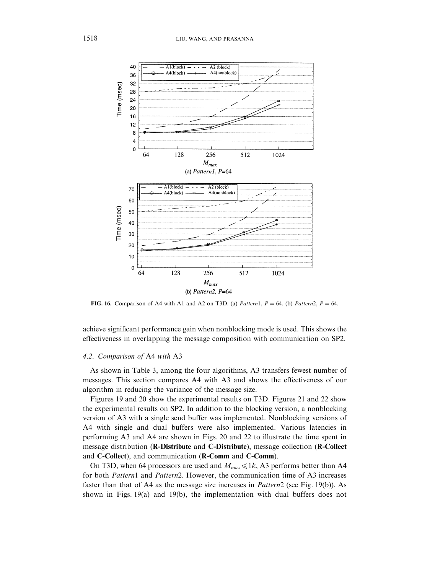<span id="page-25-0"></span>

FIG. 16. Comparison of A4 with A1 and A2 on T3D. (a) Pattern1,  $P = 64$ . (b) Pattern2,  $P = 64$ .

achieve significant performance gain when nonblocking mode is used. This shows the effectiveness in overlapping the message composition with communication on SP2.

## 4.2. Comparison of A4 with A3

As shown in [Table 3,](#page-21-0) among the four algorithms, A3 transfers fewest number of messages. This section compares A4 with A3 and shows the effectiveness of our algorithm in reducing the variance of the message size.

[Figures 19](#page-28-0) and [20](#page-28-0) show the experimental results on T3D. [Figures 21](#page-29-0) and [22](#page-29-0) show the experimental results on SP2. In addition to the blocking version, a nonblocking version of A3 with a single send buffer was implemented. Nonblocking versions of A4 with single and dual buffers were also implemented. Various latencies in performing A3 and A4 are shown in [Figs. 20](#page-28-0) and [22](#page-29-0) to illustrate the time spent in message distribution (R-Distribute and C-Distribute), message collection (R-Collect and C-Collect), and communication (R-Comm and C-Comm).

On T3D, when 64 processors are used and  $M_{max} \le 1k$ , A3 performs better than A4 for both Pattern1 and Pattern2. However, the communication time of A3 increases faster than that of A4 as the message size increases in Pattern2 (se[e Fig. 19\(b\)](#page-28-0)). As shown in Figs.  $19(a)$  and  $19(b)$ , the implementation with dual buffers does not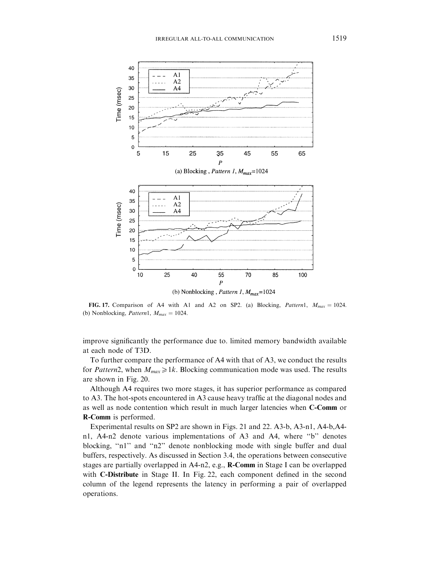<span id="page-26-0"></span>

FIG. 17. Comparison of A4 with A1 and A2 on SP2. (a) Blocking, Pattern1,  $M_{max} = 1024$ . (b) Nonblocking, *Pattern1*,  $M_{max} = 1024$ .

improve significantly the performance due to. limited memory bandwidth available at each node of T3D.

To further compare the performance of A4 with that of A3, we conduct the results for Pattern2, when  $M_{max} \ge 1k$ . Blocking communication mode was used. The results are shown in [Fig. 20.](#page-28-0)

Although A4 requires two more stages, it has superior performance as compared to A3. The hot-spots encountered in A3 cause heavy traffic at the diagonal nodes and as well as node contention which result in much larger latencies when C-Comm or R-Comm is performed.

Experimental results on SP2 are shown in [Figs. 21](#page-29-0) and [22.](#page-29-0) A3-b, A3-n1, A4-b,A4 n1, A4-n2 denote various implementations of A3 and A4, where ''b'' denotes blocking, "n1" and "n2" denote nonblocking mode with single buffer and dual buffers, respectively. As discussed in Section 3.4, the operations between consecutive stages are partially overlapped in A4-n2, e.g., R-Comm in Stage I can be overlapped with C-Distribute in Stage II. In [Fig. 22,](#page-29-0) each component defined in the second column of the legend represents the latency in performing a pair of overlapped operations.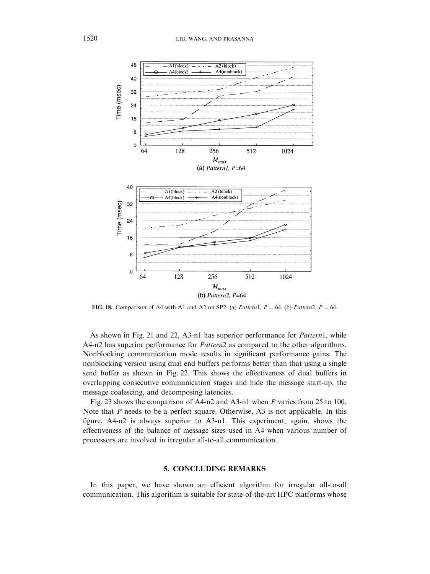<span id="page-27-0"></span>

FIG. 18. Comparison of A4 with A1 and A2 on SP2. (a) Pattern1,  $P = 64$ . (b) Pattern2,  $P = 64$ .

As shown in [Fig. 21](#page-29-0) and [22,](#page-29-0) A3-n1 has superior performance for Pattern1, while A4-n2 has superior performance for *Pattern*2 as compared to the other algorithms. Nonblocking communication mode results in significant performance gains. The nonblocking version using dual end buffers performs better than that using a single send buffer as shown in [Fig. 22](#page-29-0). This shows the effectiveness of dual buffers in overlapping consecutive communication stages and hide the message start-up, the message coalescing, and decomposing latencies.

[Fig. 23](#page-30-0) shows the comparison of A4-n2 and A3-n1 when P varies from 25 to 100. Note that  $P$  needs to be a perfect square. Otherwise, A3 is not applicable. In this figure, A4-n2 is always superior to A3-n1. This experiment, again, shows the effectiveness of the balance of message sizes used in A4 when various number of processors are involved in irregular all-to-all communication.

### 5. CONCLUDING REMARKS

In this paper, we have shown an efficient algorithm for irregular all-to-all communication. This algorithm is suitable for state-of-the-art HPC platforms whose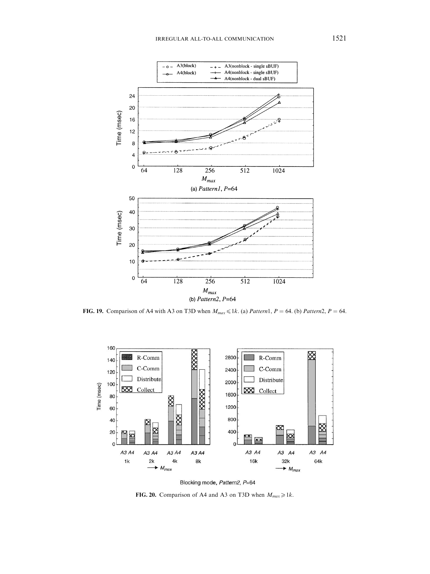<span id="page-28-0"></span>

FIG. 19. Comparison of A4 with A3 on T3D when  $M_{max} \leq 1k$ . (a) Pattern1, P = 64. (b) Pattern2, P = 64.



Blocking mode, Pattern2, P=64

FIG. 20. Comparison of A4 and A3 on T3D when  $M_{max} \ge 1k$ .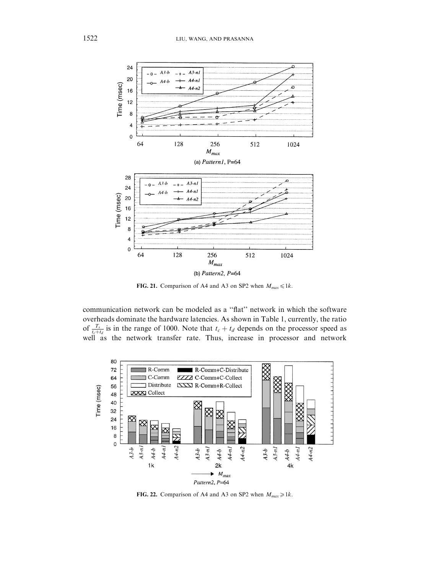<span id="page-29-0"></span>

FIG. 21. Comparison of A4 and A3 on SP2 when  $M_{max} \le 1k$ .

communication network can be modeled as a ''flat'' network in which the software overheads dominate the hardware latencies. As shown in [Table 1,](#page-4-0) currently, the ratio of  $\frac{T_s}{t_c+t_d}$  is in the range of 1000. Note that  $t_c + t_d$  depends on the processor speed as well as the network transfer rate. Thus, increase in processor and network



FIG. 22. Comparison of A4 and A3 on SP2 when  $M_{max} \ge 1k$ .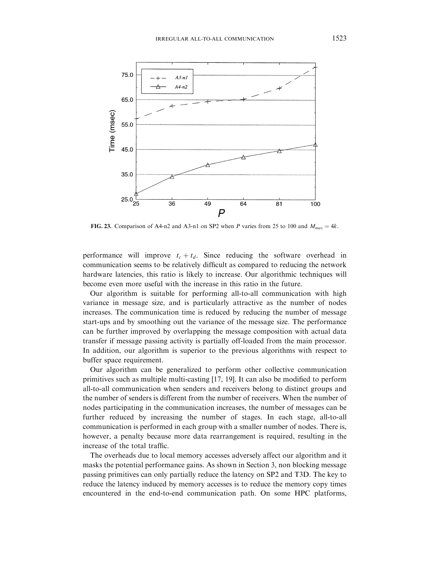<span id="page-30-0"></span>

FIG. 23. Comparison of A4-n2 and A3-n1 on SP2 when P varies from 25 to 100 and  $M_{max} = 4k$ .

performance will improve  $t_c + t_d$ . Since reducing the software overhead in communication seems to be relatively difficult as compared to reducing the network hardware latencies, this ratio is likely to increase. Our algorithmic techniques will become even more useful with the increase in this ratio in the future.

Our algorithm is suitable for performing all-to-all communication with high variance in message size, and is particularly attractive as the number of nodes increases. The communication time is reduced by reducing the number of message start-ups and by smoothing out the variance of the message size. The performance can be further improved by overlapping the message composition with actual data transfer if message passing activity is partially off-loaded from the main processor. In addition, our algorithm is superior to the previous algorithms with respect to buffer space requirement.

Our algorithm can be generalized to perform other collective communication primitives such as multiple multi-casting [\[17, 19\].](#page-32-0) It can also be modified to perform all-to-all communication when senders and receivers belong to distinct groups and the number of senders is different from the number of receivers. When the number of nodes participating in the communication increases, the number of messages can be further reduced by increasing the number of stages. In each stage, all-to-all communication is performed in each group with a smaller number of nodes. There is, however, a penalty because more data rearrangement is required, resulting in the increase of the total traffic.

The overheads due to local memory accesses adversely affect our algorithm and it masks the potential performance gains. As shown in [Section 3,](#page-7-0) non blocking message passing primitives can only partially reduce the latency on SP2 and T3D. The key to reduce the latency induced by memory accesses is to reduce the memory copy times encountered in the end-to-end communication path. On some HPC platforms,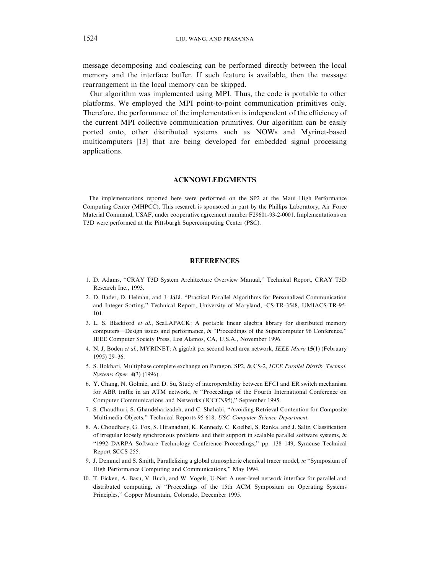<span id="page-31-0"></span>message decomposing and coalescing can be performed directly between the local memory and the interface buffer. If such feature is available, then the message rearrangement in the local memory can be skipped.

Our algorithm was implemented using MPI. Thus, the code is portable to other platforms. We employed the MPI point-to-point communication primitives only. Therefore, the performance of the implementation is independent of the efficiency of the current MPI collective communication primitives. Our algorithm can be easily ported onto, other distributed systems such as NOWs and Myrinet-based multicomputers [\[13\]](#page-32-0) that are being developed for embedded signal processing applications.

### ACKNOWLEDGMENTS

The implementations reported here were performed on the SP2 at the Maui High Performance Computing Center (MHPCC). This research is sponsored in part by the Phillips Laboratory, Air Force Material Command, USAF, under cooperative agreement number F29601-93-2-0001. Implementations on T3D were performed at the Pittsburgh Supercomputing Center (PSC).

## **REFERENCES**

- 1. D. Adams, ''CRAY T3D System Architecture Overview Manual,'' Technical Report, CRAY T3D Research Inc., 1993.
- 2. D. Bader, D. Helman, and J. JáJá, "Practical Parallel Algorithms for Personalized Communication and Integer Sorting,'' Technical Report, University of Maryland, -CS-TR-3548, UMIACS-TR-95- 101.
- 3. L. S. Blackford et al., ScaLAPACK: A portable linear algebra library for distributed memory computers—Design issues and performance, in "Proceedings of the Supercomputer 96 Conference," IEEE Computer Society Press, Los Alamos, CA, U.S.A., November 1996.
- 4. N. J. Boden et al., MYRINET: A gigabit per second local area network, IEEE Micro 15(1) (February 1995)29–36.
- 5. S. Bokhari, Multiphase complete exchange on Paragon, SP2, & CS-2, IEEE Parallel Distrib. Technol. Systems Oper. 4(3) (1996).
- 6. Y. Chang, N. Golmie, and D. Su, Study of interoperability between EFCI and ER switch mechanism for ABR traffic in an ATM network, in "Proceedings of the Fourth International Conference on Computer Communications and Networks (ICCCN95),'' September 1995.
- 7. S. Chaudhuri, S. Ghandeharizadeh, and C. Shahabi, ''Avoiding Retrieval Contention for Composite Multimedia Objects,'' Technical Reports 95-618, USC Computer Science Department.
- 8. A. Choudhary, G. Fox, S. Hiranadani, K. Kennedy, C. Koelbel, S. Ranka, and J. Saltz, Classification of irregular loosely synchronous problems and their support in scalable parallel software systems, in ''1992 DARPA Software Technology Conference Proceedings,'' pp. 138–149, Syracuse Technical Report SCCS-255.
- 9. J. Demmel and S. Smith, Parallelizing a global atmospheric chemical tracer model, in ''Symposium of High Performance Computing and Communications,'' May 1994.
- 10. T. Eicken, A. Basu, V. Buch, and W. Vogels, U-Net: A user-level network interface for parallel and distributed computing, in "Proceedings of the 15th ACM Symposium on Operating Systems Principles,'' Copper Mountain, Colorado, December 1995.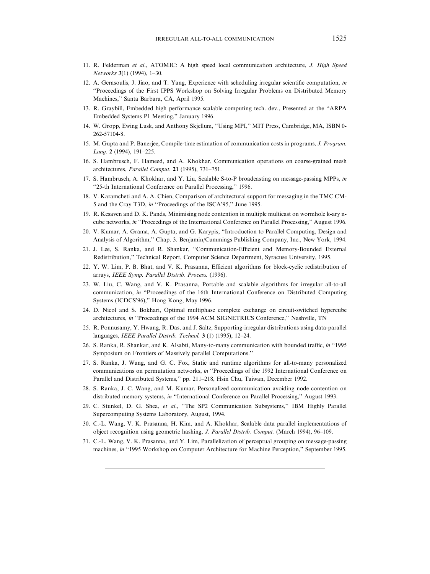- <span id="page-32-0"></span>11. R. Felderman et al., ATOMIC: A high speed local communication architecture, J. High Speed Networks 3(1) (1994), 1-30.
- 12. A. Gerasoulis, J. Jiao, and T. Yang, Experience with scheduling irregular scientific computation, in ''Proceedings of the First IPPS Workshop on Solving Irregular Problems on Distributed Memory Machines,'' Santa Barbara, CA, April 1995.
- 13. R. Graybill, Embedded high performance scalable computing tech. dev., Presented at the ''ARPA Embedded Systems P1 Meeting,'' January 1996.
- 14. W. Gropp, Ewing Lusk, and Anthony Skjellum, ''Using MPI,'' MIT Press, Cambridge, MA, ISBN 0- 262-57104-8.
- 15. M. Gupta and P. Banerjee, Compile-time estimation of communication costs in programs, J. Program. Lang. 2 (1994), 191–225.
- 16. S. Hambrusch, F. Hameed, and A. Khokhar, Communication operations on coarse-grained mesh architectures, Parallel Comput. 21 (1995), 731–751.
- 17. S. Hambrusch, A. Khokhar, and Y. Liu, Scalable S-to-P broadcasting on message-passing MPPs, in "25-th International Conference on Parallel Processing," 1996.
- 18. V. Karamcheti and A. A. Chien, Comparison of architectural support for messaging in the TMC CM-5 and the Cray T3D, in ''Proceedings of the ISCA'95,'' June 1995.
- 19. R. Kesaven and D. K. Pands, Minimising node contention in multiple multicast on wormhole k-ary ncube networks, in ''Proceedings of the International Conference on Parallel Processing,'' August 1996.
- 20. V. Kumar, A. Grama, A. Gupta, and G. Karypis, ''Introduction to Parallel Computing, Design and Analysis of Algorithm,'' Chap. 3. Benjamin/Cummings Publishing Company, Inc., New York, 1994.
- 21. J. Lee, S. Ranka, and R. Shankar, ''Communication-Efficient and Memory-Bounded External Redistribution,'' Technical Report, Computer Science Department, Syracuse University, 1995.
- 22. Y. W. Lim, P. B. Bhat, and V. K. Prasanna, Efficient algorithms for block-cyclic redistribution of arrays, IEEE Symp. Parallel Distrib. Process. (1996).
- 23. W. Liu, C. Wang, and V. K. Prasanna, Portable and scalable algorithms for irregular all-to-all communication, in ''Proceedings of the 16th International Conference on Distributed Computing Systems (ICDCS'96)," Hong Kong, May 1996.
- 24. D. Nicol and S. Bokhari, Optimal multiphase complete exchange on circuit-switched hypercube architectures, in "Proceedings of the 1994 ACM SIGNETRICS Conference," Nashville, TN
- 25. R. Ponnusamy, Y. Hwang, R. Das, and J. Saltz, Supporting-irregular distributions using data-parallel languages, IEEE Parallel Distrib. Technol. 3 (1) (1995), 12-24.
- 26. S. Ranka, R. Shankar, and K. Alsabti, Many-to-many communication with bounded traffic, in ''1995 Symposium on Frontiers of Massively parallel Computations.''
- 27. S. Ranka, J. Wang, and G. C. Fox, Static and runtime algorithms for all-to-many personalized communications on permutation networks, in "Proceedings of the 1992 International Conference on Parallel and Distributed Systems," pp. 211-218, Hsin Chu, Taiwan, December 1992.
- 28. S. Ranka, J. C. Wang, and M. Kumar, Personalized communication avoiding node contention on distributed memory systems, in "International Conference on Parallel Processing," August 1993.
- 29. C. Stunkel, D. G. Shea, et al., "The SP2 Communication Subsystems," IBM Highly Parallel Supercomputing Systems Laboratory, August, 1994.
- 30. C.-L. Wang, V. K. Prasanna, H. Kim, and A. Khokhar, Scalable data parallel implementations of object recognition using geometric hashing, J. Parallel Distrib. Comput. (March 1994), 96–109.
- 31. C.-L. Wang, V. K. Prasanna, and Y. Lim, Parallelization of perceptual grouping on message-passing machines, in "1995 Workshop on Computer Architecture for Machine Perception," September 1995.